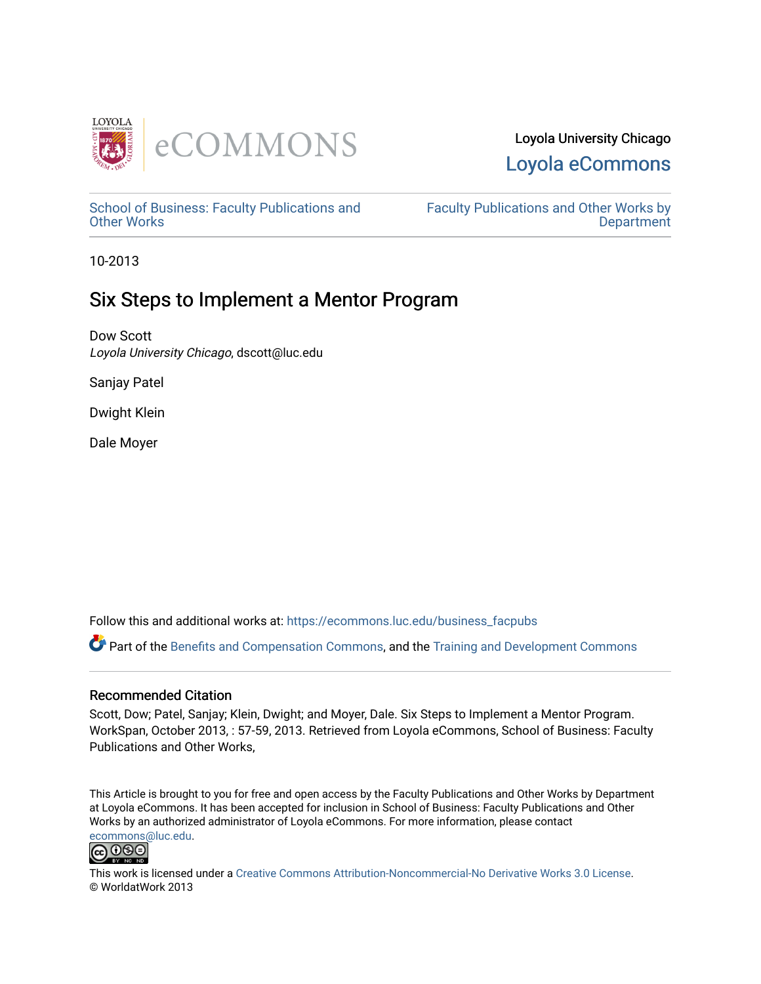

### Loyola University Chicago [Loyola eCommons](https://ecommons.luc.edu/)

[School of Business: Faculty Publications and](https://ecommons.luc.edu/business_facpubs) [Other Works](https://ecommons.luc.edu/business_facpubs)

[Faculty Publications and Other Works by](https://ecommons.luc.edu/faculty)  **Department** 

10-2013

## Six Steps to Implement a Mentor Program

Dow Scott Loyola University Chicago, dscott@luc.edu

Sanjay Patel

Dwight Klein

Dale Moyer

Follow this and additional works at: [https://ecommons.luc.edu/business\\_facpubs](https://ecommons.luc.edu/business_facpubs?utm_source=ecommons.luc.edu%2Fbusiness_facpubs%2F142&utm_medium=PDF&utm_campaign=PDFCoverPages) 

Part of the [Benefits and Compensation Commons,](http://network.bepress.com/hgg/discipline/1255?utm_source=ecommons.luc.edu%2Fbusiness_facpubs%2F142&utm_medium=PDF&utm_campaign=PDFCoverPages) and the Training and Development Commons

### Recommended Citation

Scott, Dow; Patel, Sanjay; Klein, Dwight; and Moyer, Dale. Six Steps to Implement a Mentor Program. WorkSpan, October 2013, : 57-59, 2013. Retrieved from Loyola eCommons, School of Business: Faculty Publications and Other Works,

This Article is brought to you for free and open access by the Faculty Publications and Other Works by Department at Loyola eCommons. It has been accepted for inclusion in School of Business: Faculty Publications and Other Works by an authorized administrator of Loyola eCommons. For more information, please contact [ecommons@luc.edu](mailto:ecommons@luc.edu).



This work is licensed under a [Creative Commons Attribution-Noncommercial-No Derivative Works 3.0 License.](https://creativecommons.org/licenses/by-nc-nd/3.0/) © WorldatWork 2013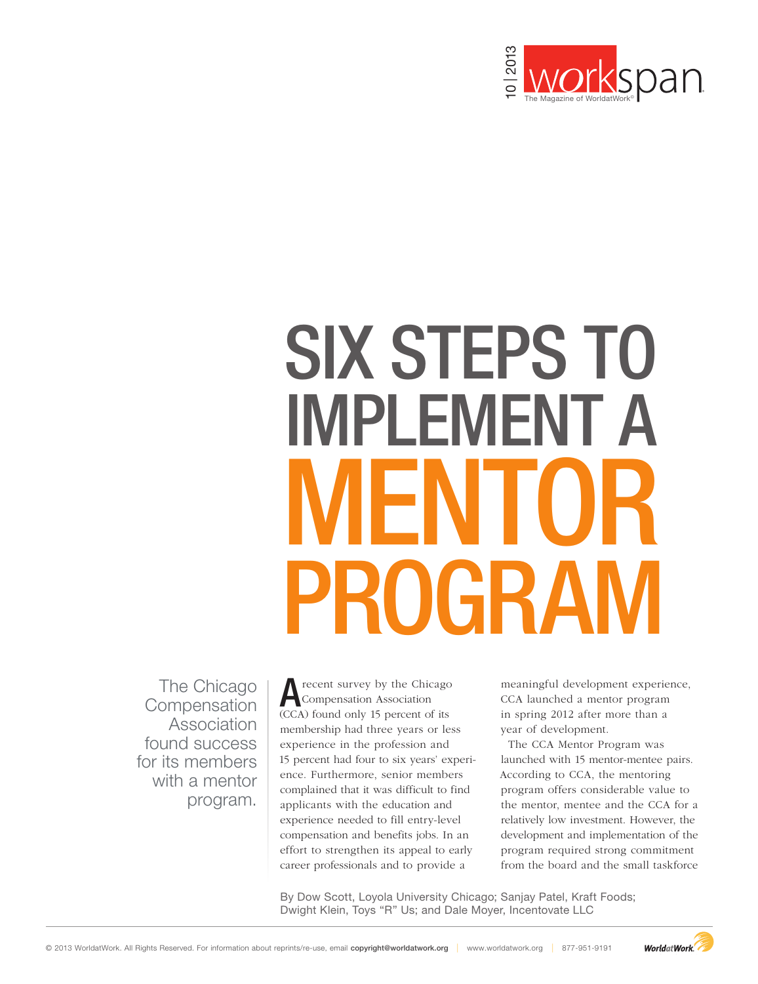

# SIX STEPS TO IMPLEMENT A MENTOR PROGRAM SIX STEPS T<br>
MPLEMENT<br>
PROGRAI

The Chicago **Compensation** Association found success for its members with a mentor program.

**A** recent survey by the Chicago<br>
Compensation Association<br>
CCA) found only 15 negated of its (CCA) found only 15 percent of its membership had three years or less experience in the profession and 15 percent had four to six years' experience. Furthermore, senior members complained that it was difficult to find applicants with the education and experience needed to fill entry-level compensation and benefits jobs. In an effort to strengthen its appeal to early career professionals and to provide a

meaningful development experience, CCA launched a mentor program in spring 2012 after more than a year of development.

The CCA Mentor Program was launched with 15 mentor-mentee pairs. According to CCA, the mentoring program offers considerable value to the mentor, mentee and the CCA for a relatively low investment. However, the development and implementation of the program required strong commitment from the board and the small taskforce

By Dow Scott, Loyola University Chicago; Sanjay Patel, Kraft Foods; Dwight Klein, Toys "R" Us; and Dale Moyer, Incentovate LLC

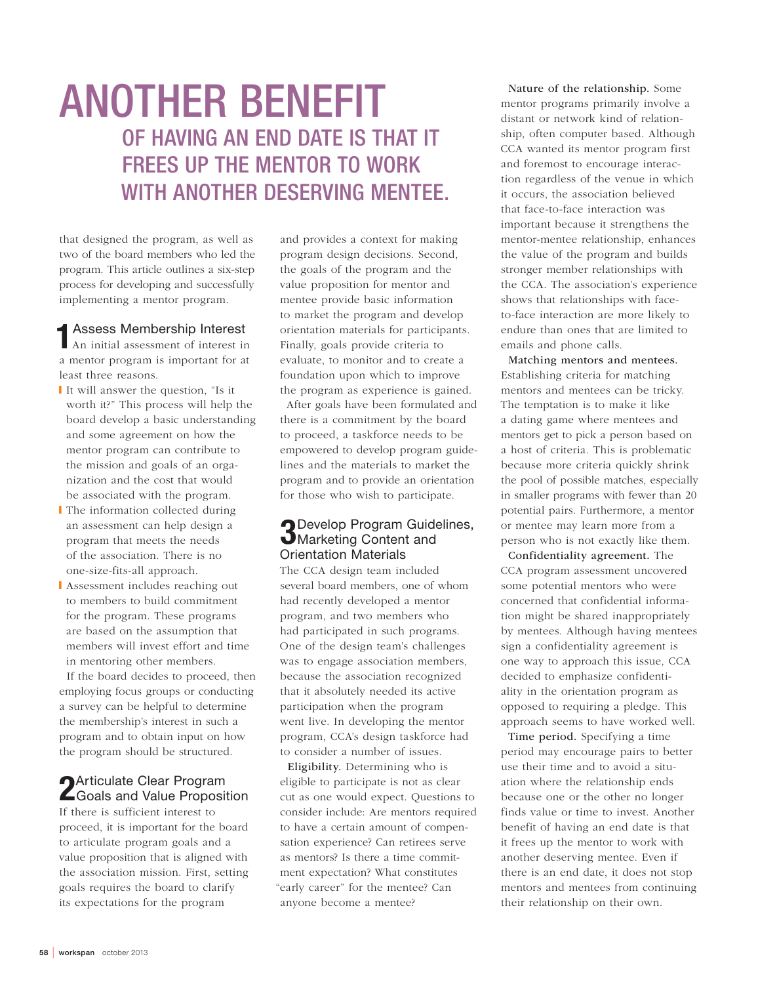# ANOTHER BENEFIT OF HAVING AN END DATE IS THAT IT FREES UP THE MENTOR TO WORK WITH ANOTHER DESERVING MENTEE.

that designed the program, as well as two of the board members who led the program. This article outlines a six-step process for developing and successfully implementing a mentor program.

1Assess Membership Interest An initial assessment of interest in a mentor program is important for at least three reasons.

- ❙ It will answer the question, "Is it worth it?" This process will help the board develop a basic understanding and some agreement on how the mentor program can contribute to the mission and goals of an organization and the cost that would be associated with the program.
- ❙ The information collected during an assessment can help design a program that meets the needs of the association. There is no one-size-fits-all approach.
- **I** Assessment includes reaching out to members to build commitment for the program. These programs are based on the assumption that members will invest effort and time in mentoring other members.

If the board decides to proceed, then employing focus groups or conducting a survey can be helpful to determine the membership's interest in such a program and to obtain input on how the program should be structured.

# **2** Articulate Clear Program<br>2 Goals and Value Proposition

If there is sufficient interest to proceed, it is important for the board to articulate program goals and a value proposition that is aligned with the association mission. First, setting goals requires the board to clarify its expectations for the program

and provides a context for making program design decisions. Second, the goals of the program and the value proposition for mentor and mentee provide basic information to market the program and develop orientation materials for participants. Finally, goals provide criteria to evaluate, to monitor and to create a foundation upon which to improve the program as experience is gained.

After goals have been formulated and there is a commitment by the board to proceed, a taskforce needs to be empowered to develop program guidelines and the materials to market the program and to provide an orientation for those who wish to participate.

### **D** Develop Program Guidelines, **J**Marketing Content and Orientation Materials

The CCA design team included several board members, one of whom had recently developed a mentor program, and two members who had participated in such programs. One of the design team's challenges was to engage association members, because the association recognized that it absolutely needed its active participation when the program went live. In developing the mentor program, CCA's design taskforce had to consider a number of issues.

Eligibility. Determining who is eligible to participate is not as clear cut as one would expect. Questions to consider include: Are mentors required to have a certain amount of compensation experience? Can retirees serve as mentors? Is there a time commitment expectation? What constitutes "early career" for the mentee? Can anyone become a mentee?

Nature of the relationship. Some mentor programs primarily involve a distant or network kind of relationship, often computer based. Although CCA wanted its mentor program first and foremost to encourage interaction regardless of the venue in which it occurs, the association believed that face-to-face interaction was important because it strengthens the mentor-mentee relationship, enhances the value of the program and builds stronger member relationships with the CCA. The association's experience shows that relationships with faceto-face interaction are more likely to endure than ones that are limited to emails and phone calls.

Matching mentors and mentees. Establishing criteria for matching mentors and mentees can be tricky. The temptation is to make it like a dating game where mentees and mentors get to pick a person based on a host of criteria. This is problematic because more criteria quickly shrink the pool of possible matches, especially in smaller programs with fewer than 20 potential pairs. Furthermore, a mentor or mentee may learn more from a person who is not exactly like them.

Confidentiality agreement. The CCA program assessment uncovered some potential mentors who were concerned that confidential information might be shared inappropriately by mentees. Although having mentees sign a confidentiality agreement is one way to approach this issue, CCA decided to emphasize confidentiality in the orientation program as opposed to requiring a pledge. This approach seems to have worked well.

Time period. Specifying a time period may encourage pairs to better use their time and to avoid a situation where the relationship ends because one or the other no longer finds value or time to invest. Another benefit of having an end date is that it frees up the mentor to work with another deserving mentee. Even if there is an end date, it does not stop mentors and mentees from continuing their relationship on their own.